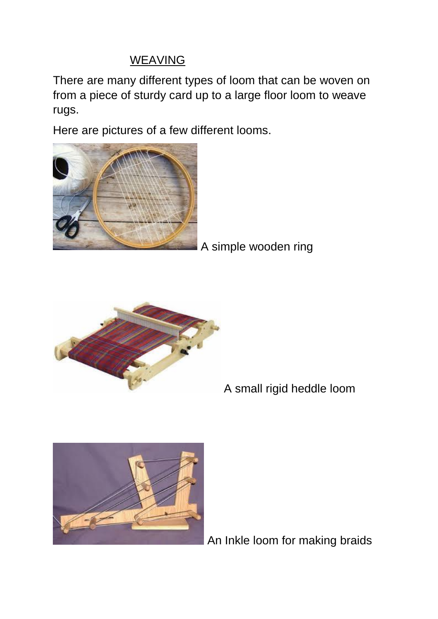## WEAVING

There are many different types of loom that can be woven on from a piece of sturdy card up to a large floor loom to weave rugs.

Here are pictures of a few different looms.



A simple wooden ring



A small rigid heddle loom



An Inkle loom for making braids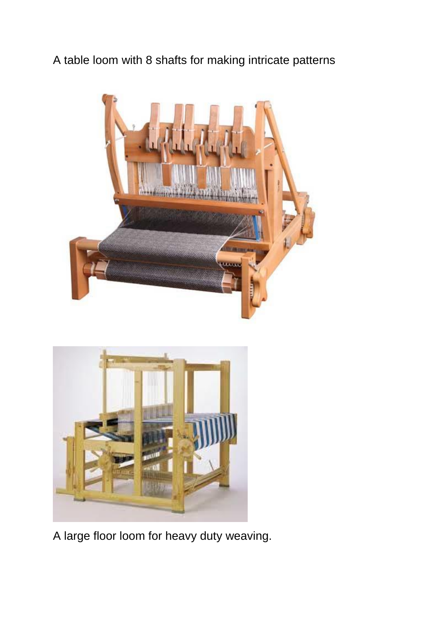A table loom with 8 shafts for making intricate patterns





A large floor loom for heavy duty weaving.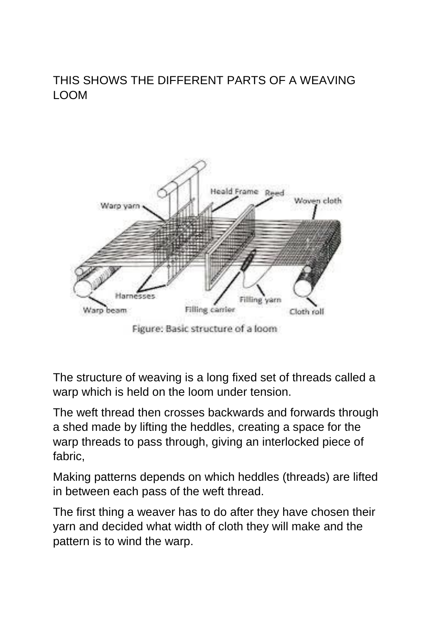## THIS SHOWS THE DIFFERENT PARTS OF A WEAVING LOOM



Figure: Basic structure of a loom

The structure of weaving is a long fixed set of threads called a warp which is held on the loom under tension.

The weft thread then crosses backwards and forwards through a shed made by lifting the heddles, creating a space for the warp threads to pass through, giving an interlocked piece of fabric,

Making patterns depends on which heddles (threads) are lifted in between each pass of the weft thread.

The first thing a weaver has to do after they have chosen their yarn and decided what width of cloth they will make and the pattern is to wind the warp.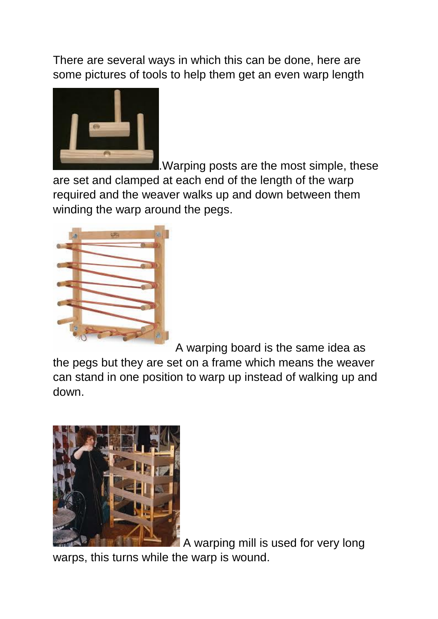There are several ways in which this can be done, here are some pictures of tools to help them get an even warp length



.Warping posts are the most simple, these are set and clamped at each end of the length of the warp required and the weaver walks up and down between them winding the warp around the pegs.



A warping board is the same idea as the pegs but they are set on a frame which means the weaver can stand in one position to warp up instead of walking up and down.



A warping mill is used for very long warps, this turns while the warp is wound.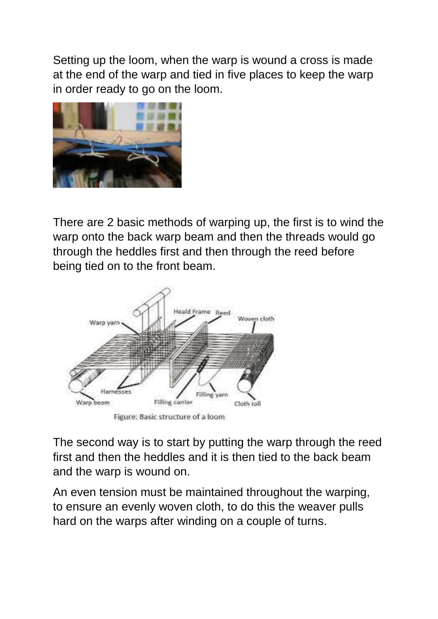Setting up the loom, when the warp is wound a cross is made at the end of the warp and tied in five places to keep the warp in order ready to go on the loom.



There are 2 basic methods of warping up, the first is to wind the warp onto the back warp beam and then the threads would go through the heddles first and then through the reed before being tied on to the front beam.



The second way is to start by putting the warp through the reed first and then the heddles and it is then tied to the back beam and the warp is wound on.

An even tension must be maintained throughout the warping, to ensure an evenly woven cloth, to do this the weaver pulls hard on the warps after winding on a couple of turns.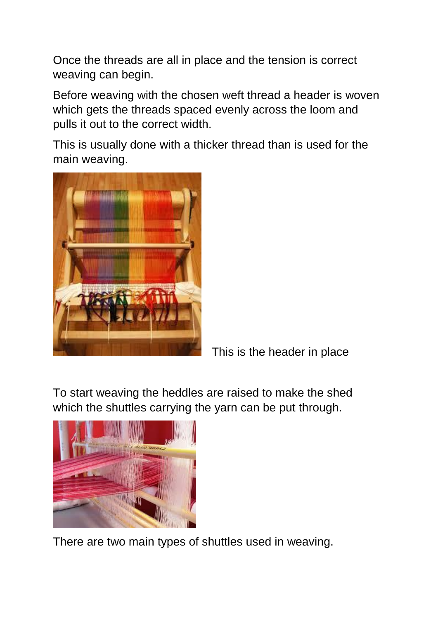Once the threads are all in place and the tension is correct weaving can begin.

Before weaving with the chosen weft thread a header is woven which gets the threads spaced evenly across the loom and pulls it out to the correct width.

This is usually done with a thicker thread than is used for the main weaving.



This is the header in place

To start weaving the heddles are raised to make the shed which the shuttles carrying the yarn can be put through.



There are two main types of shuttles used in weaving.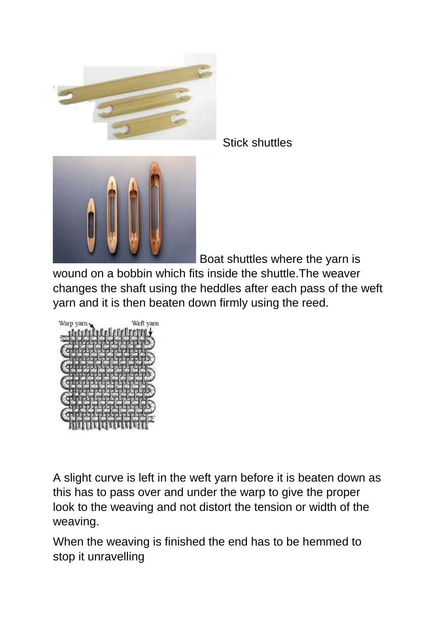

Stick shuttles



Boat shuttles where the yarn is

wound on a bobbin which fits inside the shuttle.The weaver changes the shaft using the heddles after each pass of the weft yarn and it is then beaten down firmly using the reed.



A slight curve is left in the weft yarn before it is beaten down as this has to pass over and under the warp to give the proper look to the weaving and not distort the tension or width of the weaving.

When the weaving is finished the end has to be hemmed to stop it unravelling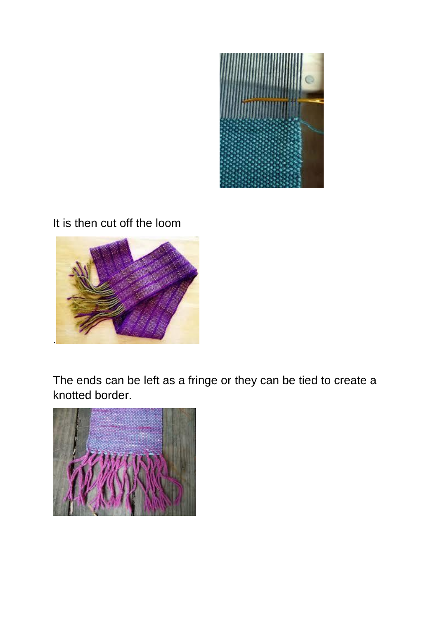

## It is then cut off the loom



The ends can be left as a fringe or they can be tied to create a knotted border.